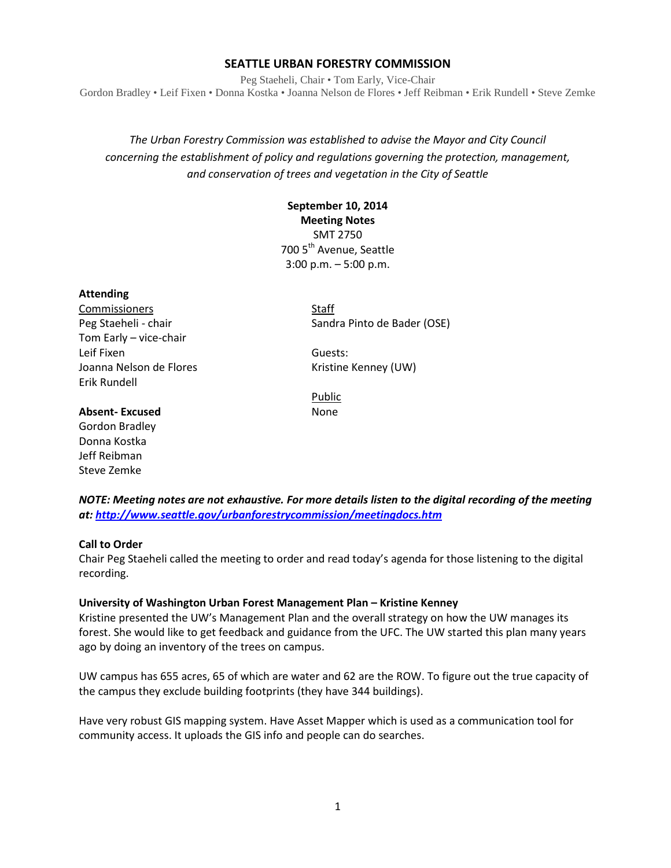### **SEATTLE URBAN FORESTRY COMMISSION**

Peg Staeheli, Chair • Tom Early, Vice-Chair Gordon Bradley • Leif Fixen • Donna Kostka • Joanna Nelson de Flores • Jeff Reibman • Erik Rundell • Steve Zemke

*The Urban Forestry Commission was established to advise the Mayor and City Council concerning the establishment of policy and regulations governing the protection, management, and conservation of trees and vegetation in the City of Seattle*

# **September 10, 2014 Meeting Notes** SMT 2750 700 5<sup>th</sup> Avenue, Seattle 3:00 p.m. – 5:00 p.m.

#### **Attending**

Commissioners Staff Tom Early – vice-chair Leif Fixen Guests: Joanna Nelson de Flores **Kristine Kenney (UW)** Erik Rundell

Peg Staeheli - chair Sandra Pinto de Bader (OSE)

Public

## **Absent-Excused** None

Gordon Bradley Donna Kostka Jeff Reibman Steve Zemke

*NOTE: Meeting notes are not exhaustive. For more details listen to the digital recording of the meeting at:<http://www.seattle.gov/urbanforestrycommission/meetingdocs.htm>*

#### **Call to Order**

Chair Peg Staeheli called the meeting to order and read today's agenda for those listening to the digital recording.

#### **University of Washington Urban Forest Management Plan – Kristine Kenney**

Kristine presented the UW's Management Plan and the overall strategy on how the UW manages its forest. She would like to get feedback and guidance from the UFC. The UW started this plan many years ago by doing an inventory of the trees on campus.

UW campus has 655 acres, 65 of which are water and 62 are the ROW. To figure out the true capacity of the campus they exclude building footprints (they have 344 buildings).

Have very robust GIS mapping system. Have Asset Mapper which is used as a communication tool for community access. It uploads the GIS info and people can do searches.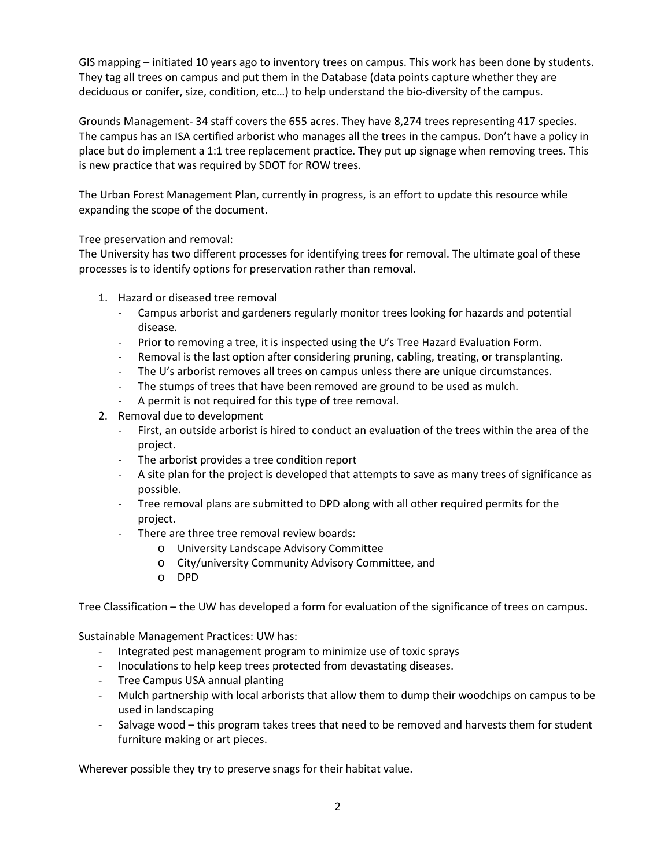GIS mapping – initiated 10 years ago to inventory trees on campus. This work has been done by students. They tag all trees on campus and put them in the Database (data points capture whether they are deciduous or conifer, size, condition, etc…) to help understand the bio-diversity of the campus.

Grounds Management- 34 staff covers the 655 acres. They have 8,274 trees representing 417 species. The campus has an ISA certified arborist who manages all the trees in the campus. Don't have a policy in place but do implement a 1:1 tree replacement practice. They put up signage when removing trees. This is new practice that was required by SDOT for ROW trees.

The Urban Forest Management Plan, currently in progress, is an effort to update this resource while expanding the scope of the document.

Tree preservation and removal:

The University has two different processes for identifying trees for removal. The ultimate goal of these processes is to identify options for preservation rather than removal.

- 1. Hazard or diseased tree removal
	- Campus arborist and gardeners regularly monitor trees looking for hazards and potential disease.
	- Prior to removing a tree, it is inspected using the U's Tree Hazard Evaluation Form.
	- Removal is the last option after considering pruning, cabling, treating, or transplanting.
	- The U's arborist removes all trees on campus unless there are unique circumstances.
	- The stumps of trees that have been removed are ground to be used as mulch.
	- A permit is not required for this type of tree removal.
- 2. Removal due to development
	- First, an outside arborist is hired to conduct an evaluation of the trees within the area of the project.
	- The arborist provides a tree condition report
	- A site plan for the project is developed that attempts to save as many trees of significance as possible.
	- Tree removal plans are submitted to DPD along with all other required permits for the project.
	- There are three tree removal review boards:
		- o University Landscape Advisory Committee
		- o City/university Community Advisory Committee, and
		- o DPD

Tree Classification – the UW has developed a form for evaluation of the significance of trees on campus.

Sustainable Management Practices: UW has:

- Integrated pest management program to minimize use of toxic sprays
- Inoculations to help keep trees protected from devastating diseases.
- Tree Campus USA annual planting
- Mulch partnership with local arborists that allow them to dump their woodchips on campus to be used in landscaping
- Salvage wood this program takes trees that need to be removed and harvests them for student furniture making or art pieces.

Wherever possible they try to preserve snags for their habitat value.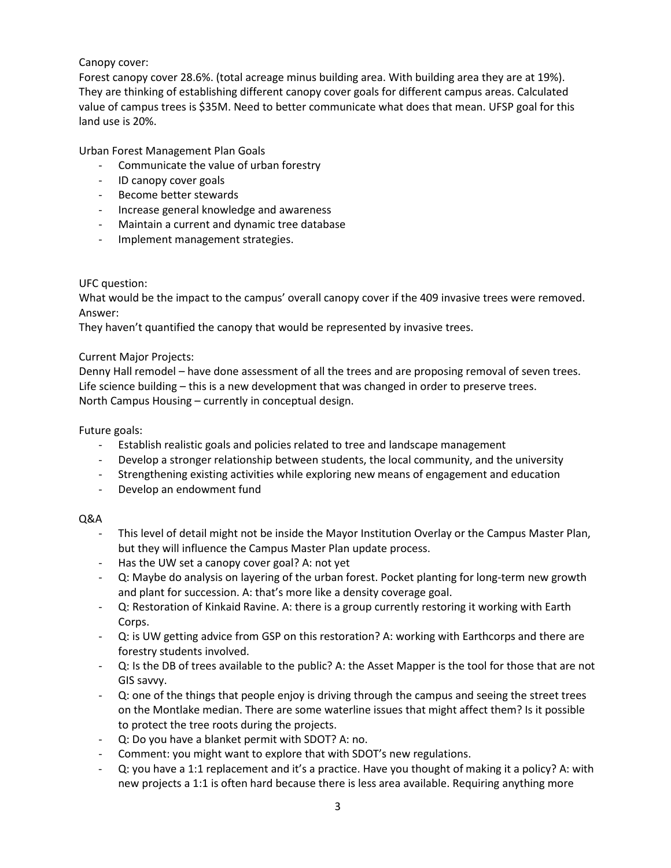## Canopy cover:

Forest canopy cover 28.6%. (total acreage minus building area. With building area they are at 19%). They are thinking of establishing different canopy cover goals for different campus areas. Calculated value of campus trees is \$35M. Need to better communicate what does that mean. UFSP goal for this land use is 20%.

Urban Forest Management Plan Goals

- Communicate the value of urban forestry
- ID canopy cover goals
- Become better stewards
- Increase general knowledge and awareness
- Maintain a current and dynamic tree database
- Implement management strategies.

### UFC question:

What would be the impact to the campus' overall canopy cover if the 409 invasive trees were removed. Answer:

They haven't quantified the canopy that would be represented by invasive trees.

#### Current Major Projects:

Denny Hall remodel – have done assessment of all the trees and are proposing removal of seven trees. Life science building – this is a new development that was changed in order to preserve trees. North Campus Housing – currently in conceptual design.

#### Future goals:

- Establish realistic goals and policies related to tree and landscape management
- Develop a stronger relationship between students, the local community, and the university
- Strengthening existing activities while exploring new means of engagement and education
- Develop an endowment fund

### Q&A

- This level of detail might not be inside the Mayor Institution Overlay or the Campus Master Plan, but they will influence the Campus Master Plan update process.
- Has the UW set a canopy cover goal? A: not yet
- Q: Maybe do analysis on layering of the urban forest. Pocket planting for long-term new growth and plant for succession. A: that's more like a density coverage goal.
- Q: Restoration of Kinkaid Ravine. A: there is a group currently restoring it working with Earth Corps.
- Q: is UW getting advice from GSP on this restoration? A: working with Earthcorps and there are forestry students involved.
- Q: Is the DB of trees available to the public? A: the Asset Mapper is the tool for those that are not GIS savvy.
- Q: one of the things that people enjoy is driving through the campus and seeing the street trees on the Montlake median. There are some waterline issues that might affect them? Is it possible to protect the tree roots during the projects.
- Q: Do you have a blanket permit with SDOT? A: no.
- Comment: you might want to explore that with SDOT's new regulations.
- Q: you have a 1:1 replacement and it's a practice. Have you thought of making it a policy? A: with new projects a 1:1 is often hard because there is less area available. Requiring anything more